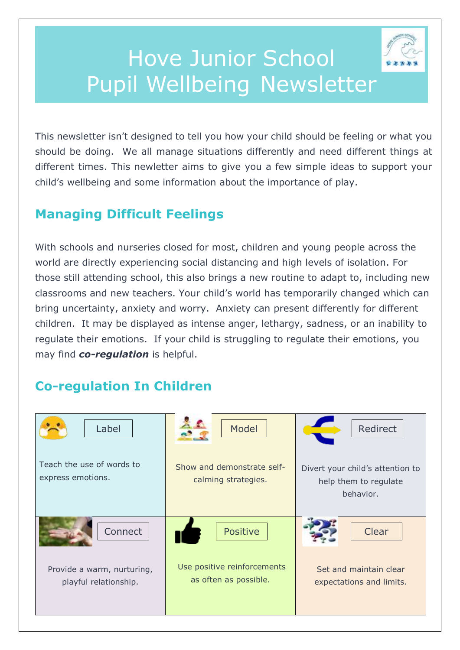# Hove Junior School Pupil Wellbeing Newsletter

This newsletter isn't designed to tell you how your child should be feeling or what you should be doing. We all manage situations differently and need different things at different times. This newletter aims to give you a few simple ideas to support your child's wellbeing and some information about the importance of play.

## **Managing Difficult Feelings**

With schools and nurseries closed for most, children and young people across the world are directly experiencing social distancing and high levels of isolation. For those still attending school, this also brings a new routine to adapt to, including new classrooms and new teachers. Your child's world has temporarily changed which can bring uncertainty, anxiety and worry. Anxiety can present differently for different children. It may be displayed as intense anger, lethargy, sadness, or an inability to regulate their emotions. If your child is struggling to regulate their emotions, you may find *co-regulation* is helpful.

## **Co-regulation In Children**

| Label                                               | Model                                                | Redirect                                                               |
|-----------------------------------------------------|------------------------------------------------------|------------------------------------------------------------------------|
| Teach the use of words to<br>express emotions.      | Show and demonstrate self-<br>calming strategies.    | Divert your child's attention to<br>help them to regulate<br>behavior. |
| Connect                                             | Positive                                             | Clear                                                                  |
| Provide a warm, nurturing,<br>playful relationship. | Use positive reinforcements<br>as often as possible. | Set and maintain clear<br>expectations and limits.                     |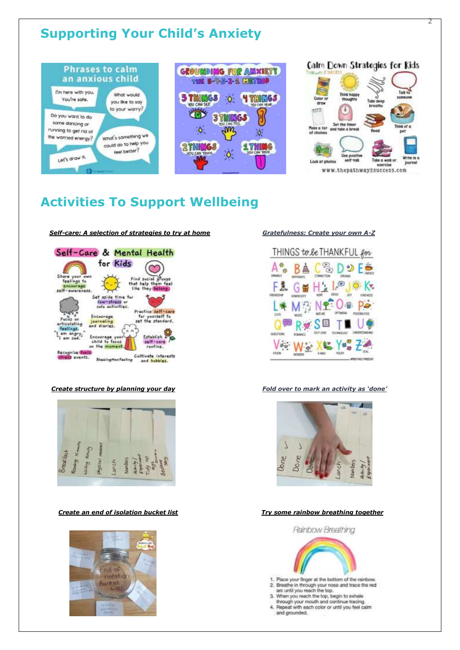## **Supporting Your Child's Anxiety**







2

## **Activities To Support Wellbeing**

### *Self-care: A selection of strategies to try at home Gratefulness: Create your own A-Z*









### *Create structure by planning your day Fold over to mark an activity as 'done'*



### *Create an end of isolation bucket list Try some rainbow breathing together*



- 1. Place your finger at the bottom of the rainbow. 2. Breathe in through your nose and trace the red<br>arc until you reach the top,<br>3. When you reach the top, begin to exhale
- 
- through your mouth and continue tracing.<br>4. Repeat with each color or until you feel calm
- and grounded.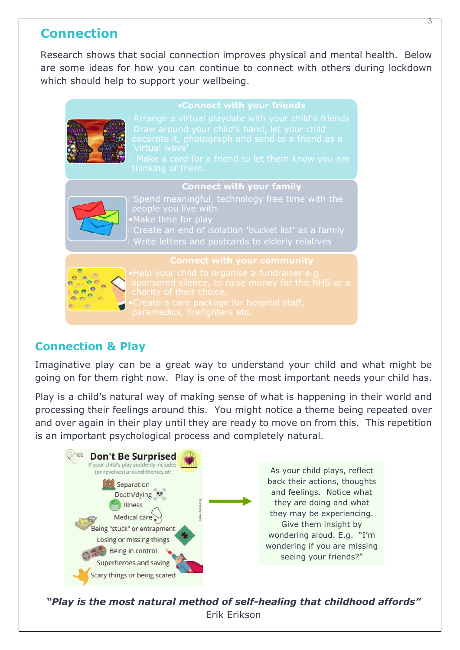### **Connection**

Research shows that social connection improves physical and mental health. Below are some ideas for how you can continue to connect with others during lockdown which should help to support your wellbeing.

**Connect with your friends**

### **Connect with your family**



Spend meaningful, technology free time with the people you live with •Make time for play Write letters and postcards to elderly relatives

### **Connect with your community**



### **Connection & Play**

Imaginative play can be a great way to understand your child and what might be going on for them right now. Play is one of the most important needs your child has.

Play is a child's natural way of making sense of what is happening in their world and processing their feelings around this. You might notice a theme being repeated over and over again in their play until they are ready to move on from this. This repetition is an important psychological process and completely natural.



*"Play is the most natural method of self-healing that childhood affords"*  Erik Erikson